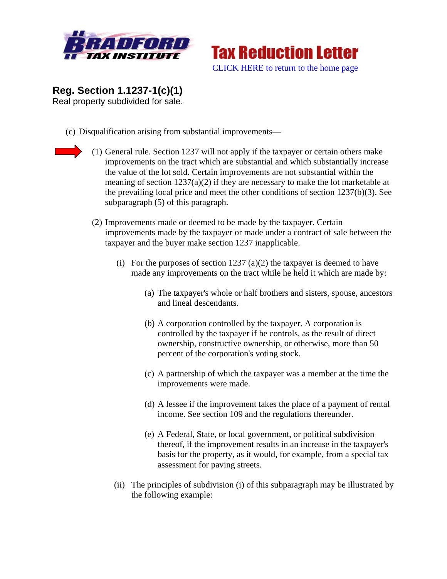



**Reg. Section 1.1237-1(c)(1)** Real property subdivided for sale.

- (c) Disqualification arising from substantial improvements—
	- (1) General rule. Section 1237 will not apply if the taxpayer or certain others make improvements on the tract which are substantial and which substantially increase the value of the lot sold. Certain improvements are not substantial within the meaning of section 1237(a)(2) if they are necessary to make the lot marketable at the prevailing local price and meet the other conditions of section 1237(b)(3). See subparagraph (5) of this paragraph.
		- (2) Improvements made or deemed to be made by the taxpayer. Certain improvements made by the taxpayer or made under a contract of sale between the taxpayer and the buyer make section 1237 inapplicable.
			- (i) For the purposes of section  $1237$  (a)(2) the taxpayer is deemed to have made any improvements on the tract while he held it which are made by:
				- (a) The taxpayer's whole or half brothers and sisters, spouse, ancestors and lineal descendants.
				- (b) A corporation controlled by the taxpayer. A corporation is controlled by the taxpayer if he controls, as the result of direct ownership, constructive ownership, or otherwise, more than 50 percent of the corporation's voting stock.
				- (c) A partnership of which the taxpayer was a member at the time the improvements were made.
				- (d) A lessee if the improvement takes the place of a payment of rental income. See section 109 and the regulations thereunder.
				- (e) A Federal, State, or local government, or political subdivision thereof, if the improvement results in an increase in the taxpayer's basis for the property, as it would, for example, from a special tax assessment for paving streets.
			- (ii) The principles of subdivision (i) of this subparagraph may be illustrated by the following example: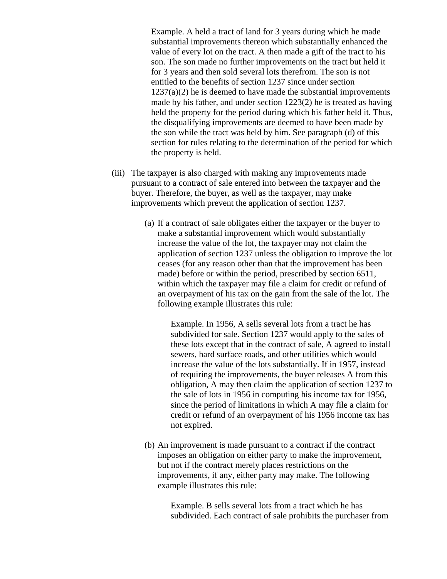Example. A held a tract of land for 3 years during which he made substantial improvements thereon which substantially enhanced the value of every lot on the tract. A then made a gift of the tract to his son. The son made no further improvements on the tract but held it for 3 years and then sold several lots therefrom. The son is not entitled to the benefits of section 1237 since under section  $1237(a)(2)$  he is deemed to have made the substantial improvements made by his father, and under section 1223(2) he is treated as having held the property for the period during which his father held it. Thus, the disqualifying improvements are deemed to have been made by the son while the tract was held by him. See paragraph (d) of this section for rules relating to the determination of the period for which the property is held.

- (iii) The taxpayer is also charged with making any improvements made pursuant to a contract of sale entered into between the taxpayer and the buyer. Therefore, the buyer, as well as the taxpayer, may make improvements which prevent the application of section 1237.
	- (a) If a contract of sale obligates either the taxpayer or the buyer to make a substantial improvement which would substantially increase the value of the lot, the taxpayer may not claim the application of section 1237 unless the obligation to improve the lot ceases (for any reason other than that the improvement has been made) before or within the period, prescribed by section 6511, within which the taxpayer may file a claim for credit or refund of an overpayment of his tax on the gain from the sale of the lot. The following example illustrates this rule:

Example. In 1956, A sells several lots from a tract he has subdivided for sale. Section 1237 would apply to the sales of these lots except that in the contract of sale, A agreed to install sewers, hard surface roads, and other utilities which would increase the value of the lots substantially. If in 1957, instead of requiring the improvements, the buyer releases A from this obligation, A may then claim the application of section 1237 to the sale of lots in 1956 in computing his income tax for 1956, since the period of limitations in which A may file a claim for credit or refund of an overpayment of his 1956 income tax has not expired.

(b) An improvement is made pursuant to a contract if the contract imposes an obligation on either party to make the improvement, but not if the contract merely places restrictions on the improvements, if any, either party may make. The following example illustrates this rule:

> Example. B sells several lots from a tract which he has subdivided. Each contract of sale prohibits the purchaser from